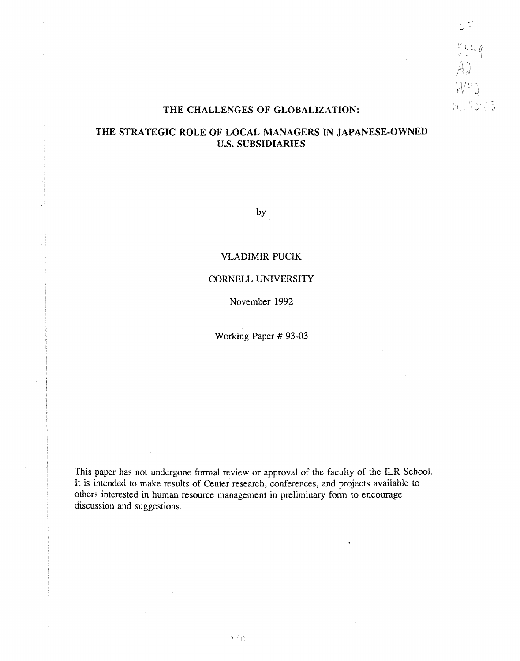# THE CHALLENGES OF GLOBALIZATION:

# THE STRATEGIC ROLE OF LOCAL MANAGERS IN JAPANESE-OWNED U.S. SUBSIDIARIES

by

## VLADIMIR PUCIK

# CORNELL UNIVERSITY

November 1992

Working Paper # *93-03*

This paper has not undergone formal review or approval of the faculty of the ILR School. It is intended to make results of Center research, conferences, and projects available to others interested in human resource management in preliminary form to encourage discussion and suggestions.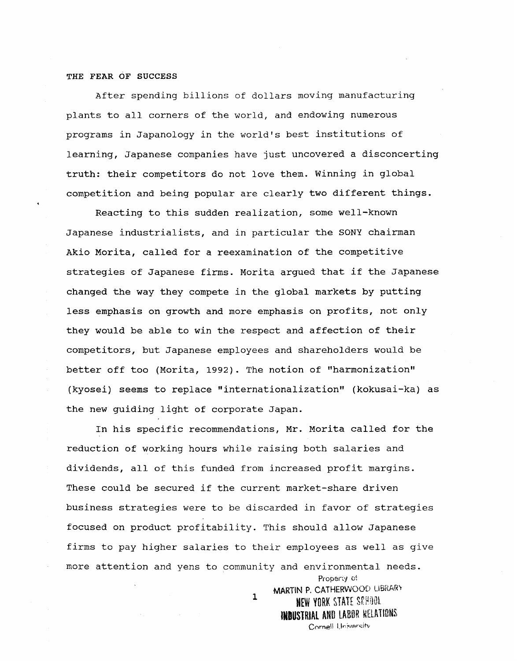### THE FEAR OF SUCCESS

After spending billions of dollars moving manufacturing plants to all corners of the world, and endowing numerous programs in Japanology in the world's best institutions of learning, Japanese companies have just uncovered a disconcerting truth: their competitors do not love them. Winning in global competition and being popular are clearly two different things.

Reacting to this sudden realization, some well-known Japanese industrialists, and in particular the SONY chairman Akio Morita, called for a reexamination of the competitive strategies of Japanese firms. Morita argued that if the Japanese changed the way they compete in the global markets by putting less emphasis on growth and more emphasis on profits, not only they would be able to win the respect and affection of their competitors, but Japanese employees and shareholders would be better off too (Morita, 1992). The notion of "harmonization" (kyosei) seems to replace "internationalization" (kokusai-ka) as the new guiding light of corporate Japan.

In his specific recommendations, Mr. Morita called for the reduction of working hours while raising both salaries and dividends, all of this funded from increased profit margins. These could be secured if the current market-share driven business strategies were to be discarded in favor of strategies focused on product profitability. This should allow Japanese firms to pay higher salaries to their employees as well as give more attention and yens to community and environmental needs.

> Propeny oi MARTIN P. CATHERWOOD LIBRARY **NEW YORK STATE SCHOOL INDUSTRIAL AND LABOR RELATIONS** Cornell University 1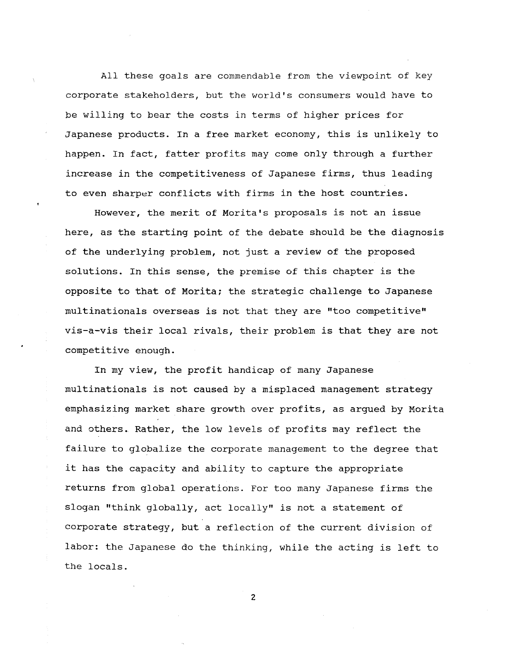All these goals are commendable from the viewpoint of key corporate stakeholders, but the world's consumers would have to be willing to bear the costs in terms of higher prices for Japanese products. In a free market economy, this is unlikely to happen. In fact, fatter profits may come only through a further increase in the competitiveness of Japanese firms, thus leading to even sharper conflicts with firms in the host countries.

However, the merit of Morita's proposals is not an issue here, as the starting point of the debate should be the diagnosis of the underlying problem, not just a review of the proposed solutions. In this sense, the premise of this chapter is the opposite to that of Morita: the strategic challenge to Japanese multinationals overseas is not that they are "too competitive" vis-a-vis their local rivals, their problem is that they are not competitive enough.

In my view, the profit handicap of many Japanese multinationals is not caused by a misplaced management strategy emphasizing market share growth over profits, as argued by Morita and others. Rather, the low levels of profits may reflect the failure to globalize the corporate management to the degree that it has the capacity and ability to capture the appropriate returns from global operations. For too many Japanese firms the slogan "think globally, act locally" is not a statement of corporate strategy, but a reflection of the current division of labor: the Japanese do the thinking, while the acting is left to the locals.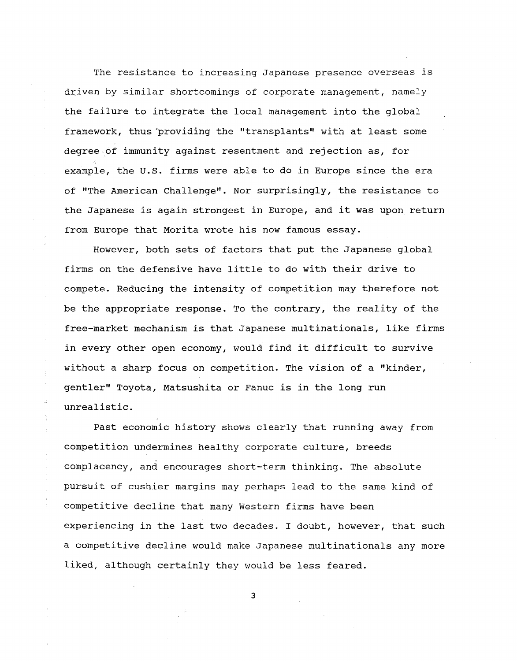The resistance to increasing Japanese presence overseas is driven by similar shortcomings of corporate management, namely the failure to integrate the local management into the global framework, thus 'providing the "transplants" with at least some degree of immunity against resentment and rejection as, for example, the U.S. firms were able to do in Europe since the era of "The American Challenge". Nor surprisingly, the resistance to the Japanese is again strongest in Europe, and it was upon return from Europe that Morita wrote his now famous essay.

However, both sets of factors that put the Japanese global firms on the defensive have little to do with their drive to compete. Reducing the intensity of competition may therefore not be the appropriate response. To the contrary, the reality of the free-market mechanism is that Japanese multinationals, like firms in every other open economy, would find it difficult to survive without a sharp focus on competition. The vision of a "kinder, gentler" Toyota, Matsushita or Fanuc is in the long run unrealistic.

j,

Past economic history shows clearly that running away from competition undermines healthy corporate culture, breeds complacency, and encourages short-term thinking. The absolute pursuit of cushier margins may perhaps lead to the same kind of competitive decline that many Western firms have been experiencing in the last two decades. I doubt, however, that such a competitive decline would make Japanese multinationals any more liked, although certainly they would be less feared.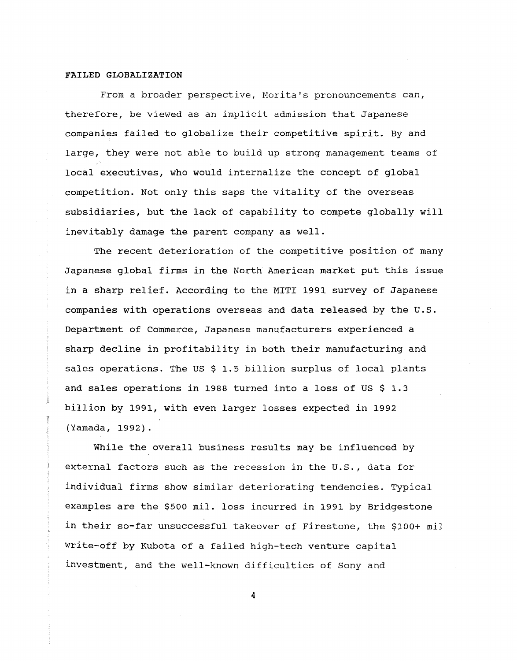#### FAILED GLOBALIZATION

From a broader perspective, Morita's pronouncements can, therefore, be viewed as an implicit admission that Japanese companies failed to globalize their competitive spirit. By and large, they were not able to build up strong management teams of local executives, who would internalize the concept of global competition. Not only this saps the vitality of the overseas subsidiaries, but the lack of capability to compete globally will inevitably damage the parent company as well.

The recent deterioration of the competitive position of many Japanese global firms in the North American market put this issue in a sharp relief. According to the MITI 1991 survey of Japanese companies with operations overseas and data released by the U.S. Department of Commerce, Japanese manufacturers experienced a sharp decline in profitability in both their manufacturing and sales operations. The US \$ 1.5 billion surplus of local plants and sales operations in 1988 turned into a loss of US \$ 1.3 billion by 1991, with even larger losses expected in 1992 (Yamada, 1992).

While the overall business results may be influenced by external factors such as the recession in the U.S., data for individual firms show similar deteriorating tendencies. Typical examples are the \$500 mil. loss incurred in 1991 by Bridgestone in their so-far unsuccessful takeover of Firestone, the \$100+ mil write-off by Kubota of a failed high-tech venture capital investment, and the well-known difficulties of Sony and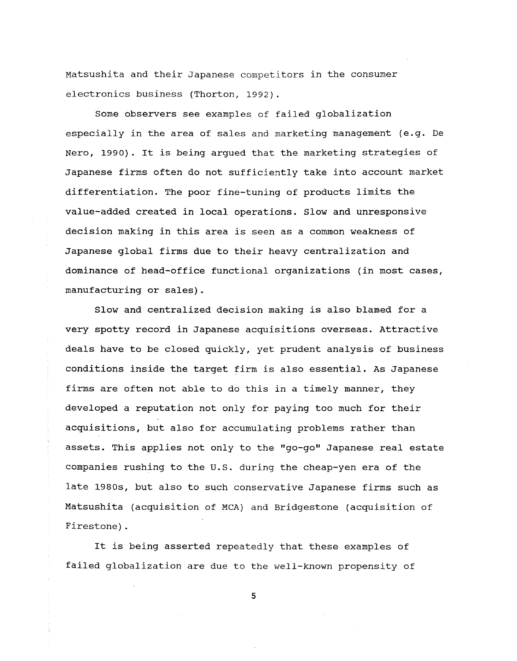Matsushita and their Japanese competitors in the consumer electronics business (Thorton, 1992).

Some observers see examples of failed globalization especially in the area of sales and marketing management (e.g. De Nero, 1990). It is being argued that the marketing strategies of Japanese firms often do not sufficiently take into account market differentiation. The poor fine-tuning of products limits the value-added created in local operations. Slow and unresponsive decision making in this area is seen as a common weakness of Japanese global firms due to their heavy centralization and dominance of head-office functional organizations (in most cases, manufacturing or sales).

Slow and centralized decision making is also blamed for a very spotty record in Japanese acquisitions overseas. Attractive deals have to be closed quickly, yet prudent analysis of business conditions inside the target firm is also essential. As Japanese firms are often not able to do this in a timely manner, they developed a reputation not only for paying too much for their acquisitions, but also for accumulating problems rather than assets. This applies not only to the "go-go" Japanese real estate companies rushing to the U.S. during the cheap-yen era of the late 1980s, but also to such conservative Japanese firms such as Matsushita (acquisition of MCA) and Bridgestone (acquisition of Firestone) .

It is being asserted repeatedly that these examples of failed globalization are due to the well-known propensity of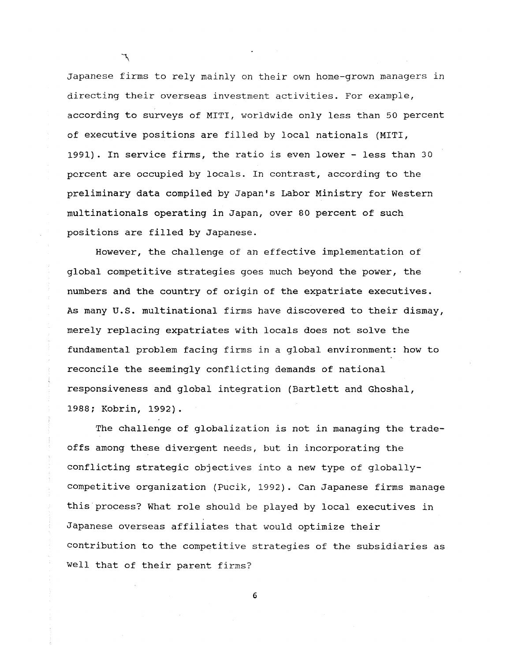Japanese firms to rely mainly on their own home-grown managers in directing their overseas investment activities. For example, according to surveys of MITI, worldwide only less than 50 percent of executive positions are filled by local nationals (MITI, 1991). In service firms, the ratio is even lower - less than 30 percent are occupied by locals. In contrast, according to the preliminary data compiled by Japan's Labor Ministry for Western multinationals operating in Japan, over 80 percent of such positions are filled by Japanese.

 $\mathcal{L}$ 

However, the challenge of an effective implementation of global competitive strategies goes much beyond the power, the numbers and the country of origin of the expatriate executives. As many U.S. multinational firms have discovered to their dismay, merely replacing expatriates with locals does not solve the fundamental problem facing firms in a global environment: how to reconcile the seemingly conflicting demands of national responsiveness and global integration (Bartlett and Ghoshal, 1988; Kobrin, 1992).

The challenge of globalization is not in managing the tradeoffs among these divergent needs, but in incorporating the conflicting strategic objectives into a new type of globallycompetitive organization (pucik, 1992). Can Japanese firms manage this process? What role should be played by local executives in Japanese overseas affiliates that would optimize their contribution to the competitive strategies of the subsidiaries as well that of their parent firms?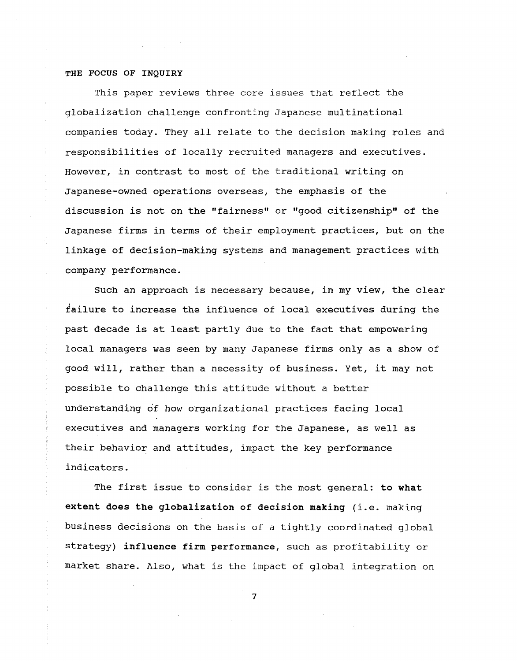#### THE FOCUS OF INQUIRY

This paper reviews three core issues that reflect the globalization challenge confronting Japanese multinational companies today. They all relate to the decision making roles and responsibilities of locally recruited managers and executives. However, in contrast to most of the traditional writing on Japanese-owned operations overseas, the emphasis of the discussion is not on the "fairness" or "good citizenship" of the Japanese firms in terms of their employment practices, but on the linkage of decision-making systems and management practices with company performance.

Such an approach is necessary because, in my view, the clear failure to increase the influence of local executives during the past decade is at least partly due to the fact that empowering local managers was seen by many Japanese firms only as a show of good will, rather than a necessity of business. Yet, it may not possible to challenge this attitude without a better understanding of how organizational practices facing local executives and managers working for the Japanese, as well as their behavior and attitudes, impact the key performance indicators.

The first issue to consider is the most general: to what extent does the globalization of decision making (i.e. making business decisions on the basis of a tightly coordinated global strategy) influence firm performance, such as profitability or market share. Also, what is the impact of global integration on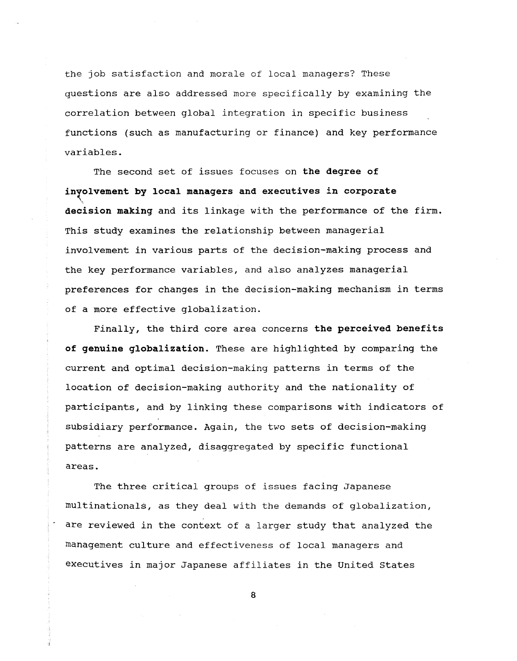the job satisfaction and morale of local managers? These questions are also addressed more specifically by examining the correlation between global integration in specific business functions (such as manufacturing or finance) and key performance variables.

The second set of issues focuses on **the degree of** in~~lvement **by local managers and executives in corporate decision making** and its linkage with the performance of the firm. This study examines the relationship between managerial involvement in various parts of the decision-making process and the key performance variables, and also analyzes managerial preferences for changes in the decision-making mechanism in terms of a more effective globalization.

Finally, the third core area concerns **the perceived benefits of genuine globalization.** These are highlighted by comparing the current and optimal decision-making patterns in terms of the location of decision-making authority and the nationality of participants, and by linking these comparisons with indicators of subsidiary performance. Again, the two sets of decision-making patterns are analyzed, disaggregated by specific functional areas.

The three critical groups of issues facing Japanese multinationals, as they deal with the demands of globalization, are reviewed in the context of a larger study that analyzed the management culture and effectiveness of local managers and executives in major Japanese affiliates in the United states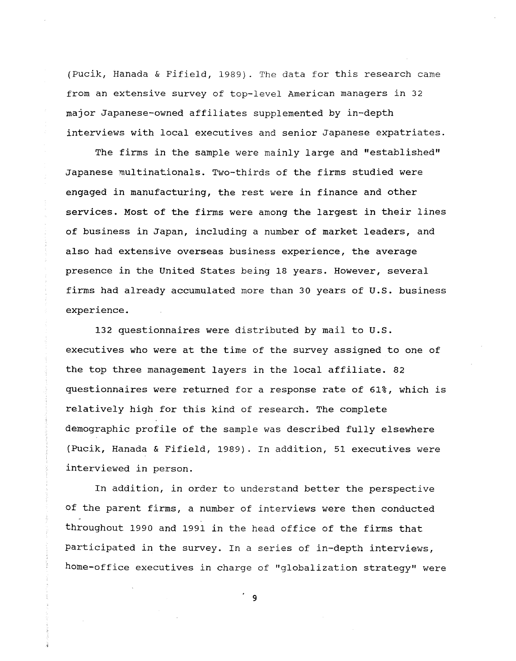(Pucik, Hanada & Fifield, 1989). The data for this research came from an extensive survey of top-level American managers in 32 major Japanese-owned affiliates supplemented by in-depth interviews with local executives and senior Japanese expatriates.

The firms in the sample were mainly large and "established" Japanese multinationals. Two-thirds of the firms studied were engaged in manufacturing, the rest were in finance and other services. Most of the firms were among the largest in their lines of business in Japan, including a number of market leaders, and also had extensive overseas business experience, the average presence in the United states being 18 years. However, several firms had already accumulated more than 30 years of U.S. business experience.

132 questionnaires were distributed by mail to U.s. executives who were at the time of the survey assigned to one of the top three management layers in the local affiliate. 82 questionnaires were returned for a response rate of 61%, which is relatively high for this kind of research. The complete demographic profile of the sample was described fully elsewhere (Pucik, Hanada & Fifield, 1989). In addition, 51 executives were interviewed in person.

In addition, in order to understand better the perspective of the parent firms, a number of interviews were then conducted throughout 1990 and 1991 in the head office of the firms that participated in the survey. In a series of in-depth interviews, home-office executives in charge of "globalization strategy" were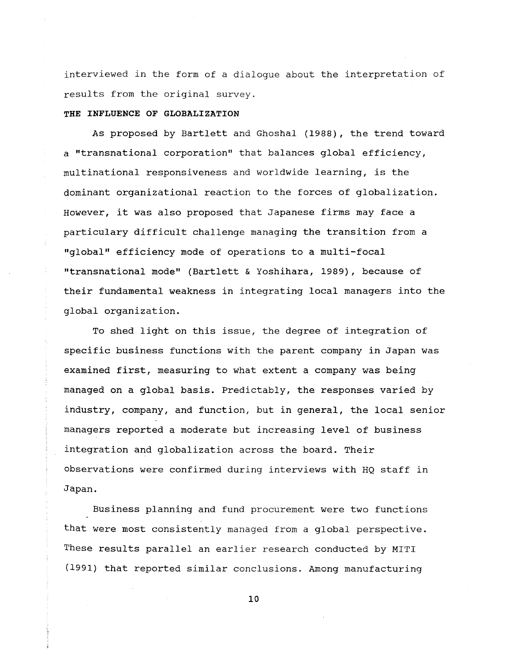interviewed in the form of a dialogue about the interpretation of results from the original survey.

## **THE INFLUENCE OF GLOBALIZATION**

As proposed by Bartlett and Ghoshal (1988), the trend toward a "transnational corporation" that balances global efficiency, multinational responsiveness and worldwide learning, is the dominant organizational reaction to the forces of globalization. However, it was also proposed that Japanese firms may face a particulary difficult challenge managing the transition from a "global" efficiency mode of operations to a multi-focal "transnational mode" (Bartlett & Yoshihara, 1989), because of their fundamental weakness in integrating local managers into the global organization.

To shed light on this issue, the degree of integration of specific business functions with the parent company in Japan was examined first, measuring to what extent a company was being managed on a global basis. Predictably, the responses varied by industry, company, and function, but in general, the local senior managers reported a moderate but increasing level of business integration and globalization across the board. Their observations were confirmed during interviews with HQ staff in Japan.

Business planning and fund procurement were two functions that were most consistently managed from a global perspective. These results parallel an earlier research conducted by MITI (1991) that reported similar conclusions. Among manufacturing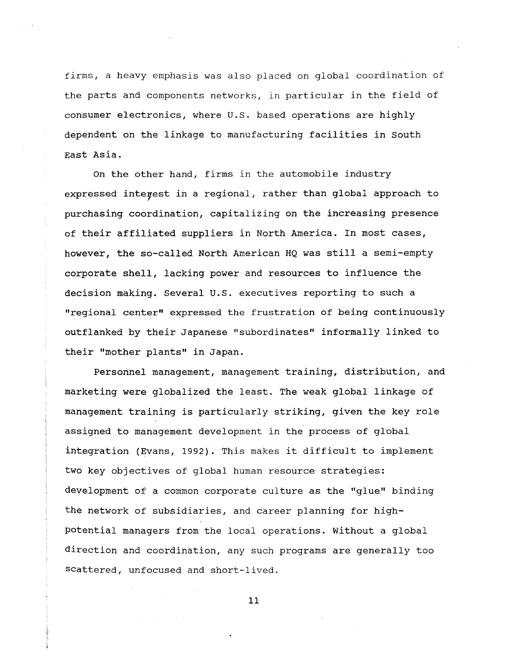firms, a heavy emphasis was also placed on global coordination of the parts and components networks, in particular in the field of consumer electronics, where U.S. based operations are highly dependent on the linkage to manufacturing facilities in South East Asia.

On the other hand, firms in the automobile industry expressed interest in a regional, rather than global approach to purchasing coordination, capitalizing on the increasing presence of their affiliated suppliers in North America. In most cases, however, the so-called North American HQ was still a semi-empty corporate shell, lacking power and resources to influence the decision making. Several U.S. executives reporting to such a "regional center" expressed the frustration of being continuously outflanked by their Japanese "subordinates" informally linked to their "mother plants" in Japan.

Personnel management, management training, distribution, and marketing were globalized the least. The weak global linkage of management training is particularly striking, given the key role assigned to management development in the process of global integration (Evans, 1992). This makes it difficult to implement two key objectives of global human resource strategies: development of a common corporate culture as the "glue" binding the network of subsidiaries, and career planning for highpotential managers from the local operations. Without a global direction and coordination, any such programs are generally too scattered, unfocused and short-lived.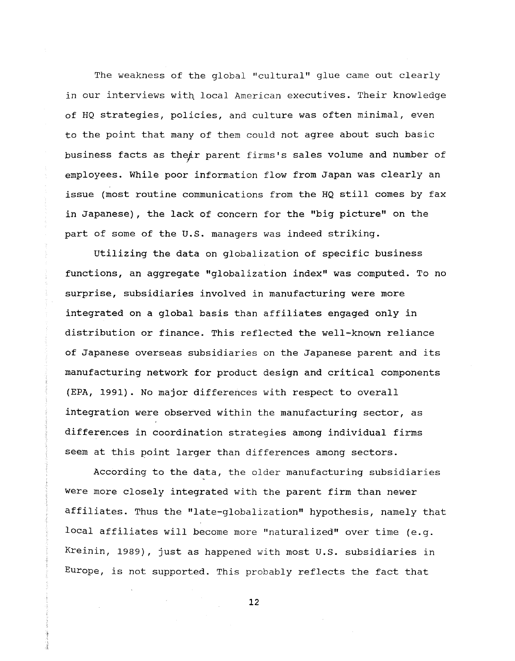The weakness of the global "cultural" glue came out clearly in our interviews with local American executives. Their knowledge of HQ strategies, policies, and culture was often minimal, even to the point that many of them could not agree about such basic business facts as their parent firms's sales volume and number of employees. While poor information flow from Japan was clearly an issue (most routine communications from the HQ still comes by fax in Japanese), the lack of concern for the "big picture" on the part of some of the U.S. managers was indeed striking.

utilizing the data on globalization of specific business functions, an aggregate "globalization index" was computed. To no surprise, subsidiaries involved in manufacturing were more integrated on a global basis than affiliates engaged only in distribution or finance. This reflected the well-known reliance of Japanese overseas subsidiaries on the Japanese parent and its manufacturing network for product design and critical components (EPA, 1991). No major differences with respect to overall integration were observed within the manufacturing sector, as differences in coordination strategies among individual firms seem at this point larger than differences among sectors.

According to the data, the older manufacturing subsidiaries were more closely integrated with the parent firm than newer affiliates. Thus the "late-globalization" hypothesis, namely that local affiliates will become more "naturalized" over time (e.g. Kreinin, 1989), just as happened with most u.s. subsidiaries in Europe, is not supported. This probably reflects the fact that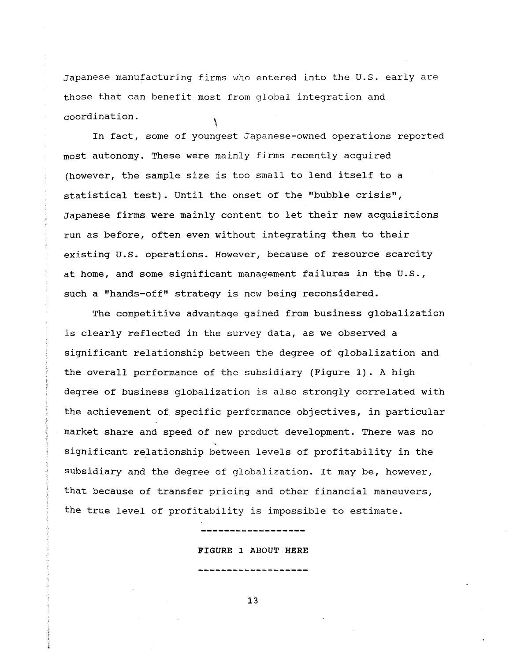Japanese manufacturing firms who entered into the U.S. early are those that can benefit most from global integration and coordination.

,

In fact, some of youngest Japanese-owned operations reported most autonomy. These were mainly firms recently acquired (however, the sample size is too small to lend itself to a statistical test). Until the onset of the "bubble crisis", Japanese firms were mainly content to let their new acquisitions run as before, often even without integrating them to their existing U.s. operations. However, because of resource scarcity at home, and some significant management failures in the U.S., such a "hands-off" strategy is now being reconsidered.

The competitive advantage gained from business globalization is clearly reflected in the survey data, as we observed a significant relationship between the degree of globalization and the overall performance of the subsidiary (Figure 1). A high degree of business globalization is also strongly correlated with the achievement of specific performance objectives, in particular market share and speed of new product development. There was no  $\mathbf{r}$ significant relationship between levels of profitability in the subsidiary and the degree of globalization. It may be, however, that because of transfer pricing and other financial maneuvers, the true level of profitability is impossible to estimate.

**------------------**

FIGURE 1 ABOUT HERE

13

**-------------------**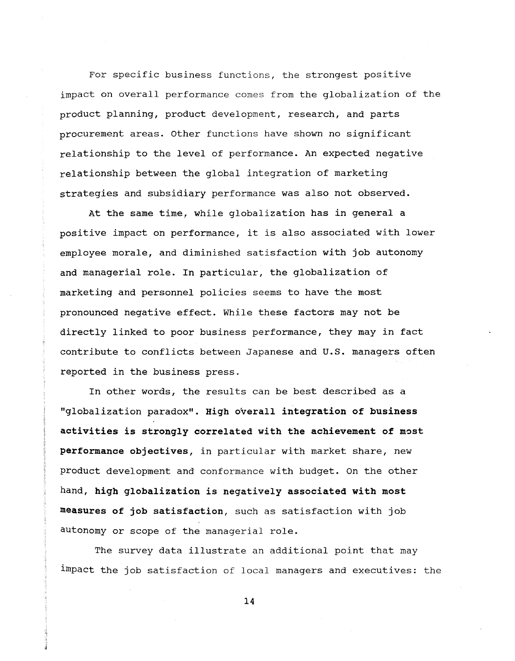For specific business functions, the strongest positive impact on overall performance comes from the globalization of the product planning, product development, research, and parts procurement areas. Other functions have shown no significant relationship to the level of performance. An expected negative relationship between the global integration of marketing strategies and subsidiary performance was also not observed.

At the same time, while globalization has in general a positive impact on performance, it is also associated with lower employee morale, and diminished satisfaction with job autonomy and managerial role. In particular, the globalization of marketing and personnel policies seems to have the most pronounced negative effect. While these factors may not be directly linked to poor business performance, they may in fact contribute to conflicts between Japanese and U.S. managers often reported in the business press.

In other words, the results can be best described as a "globalization paradox". **High overall integration of business activities is strongly correlated with the achievement of** m~st **performance objectives,** in particular with market share, new product development and conformance with budget. On the other hand, **high globalization is negatively associated with most measures of job satisfaction,** such as satisfaction with job autonomy or scope of the managerial role.

The survey data illustrate an additional point that may impact the job satisfaction of local managers and executives: the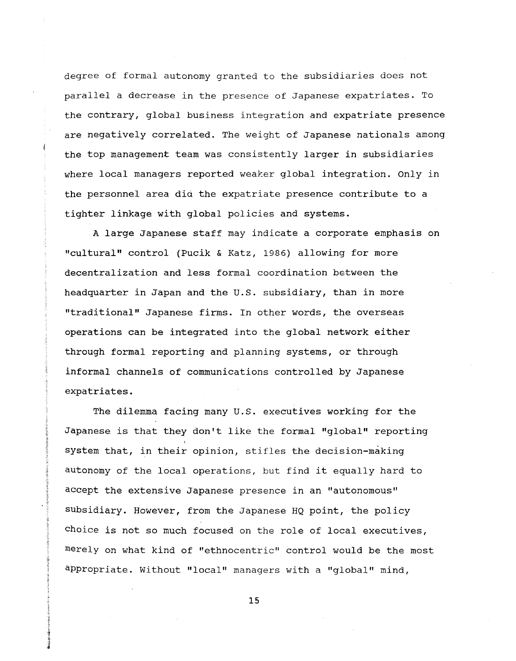degree of formal autonomy granted to the subsidiaries does not parallel a decrease in the presence of Japanese expatriates. To the contrary, global business integration and expatriate presence are negatively correlated. The weight of Japanese nationals among the top management team was consistently larger in subsidiaries where local managers reported weaker global integration. only in the personnel area did the expatriate presence contribute to a tighter linkage with global policies and systems.

A large Japanese staff may indicate a corporate emphasis on "cultural" control (pucik & Katz, 1986) allowing for more decentralization and less formal coordination between the headquarter in Japan and the U.S. subsidiary, than in more "traditional" Japanese firms. In other words, the overseas operations can be integrated into the global network either through formal reporting and planning systems, or through informal channels of communications controlled by Japanese expatriates.

The dilemma facing many U.S. executives working for the Japanese is that they don't like the formal "global" reporting system that, in their opinion, stifles the decision-making autonomy of the local operations, but find it equally hard to accept the extensive Japanese presence in an "autonomous" subsidiary. However, from the Japanese HQ point, the policy choice is not so much focused on the role of local executives, merely on what kind of "ethnocentric" control would be the most appropriate. Without "local" managers with a "global" mind,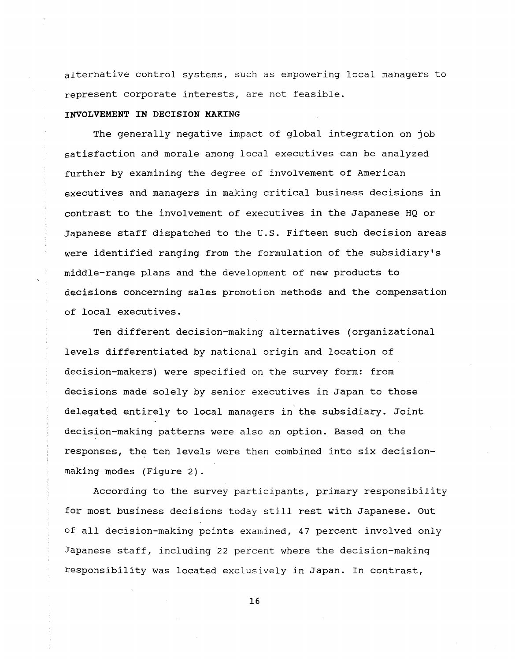alternative control systems, such as empowering local managers to represent corporate interests, are not feasible.

### **INVOLVEMENT IN DECISION MAKING**

The generally negative impact of global integration on job satisfaction and morale among local executives can be analyzed further by examining the degree of involvement of American executives and managers in making critical business decisions in contrast to the involvement of executives in the Japanese HQ or Japanese staff dispatched to the U.S. Fifteen such decision areas were identified ranging from the formulation of the subsidiary's middle-range plans and the development of new products to decisions concerning sales promotion methods and the compensation of local executives.

Ten different decision-making alternatives (organizational levels differentiated by national origin and location of decision-makers) were specified on the survey form: from decisions made solely by senior executives in Japan to those delegated entirely to local managers in the subsidiary. Joint decision-making patterns were also an option. Based on the responses, the ten levels were then combined into six decisionmaking modes (Figure 2).

According to the survey participants, primary responsibility for most business decisions today still rest with Japanese. Out of all decision-making points examined, 47 percent involved only Japanese staff, including 22 percent where the decision-making responsibility was located exclusively in Japan. In contrast,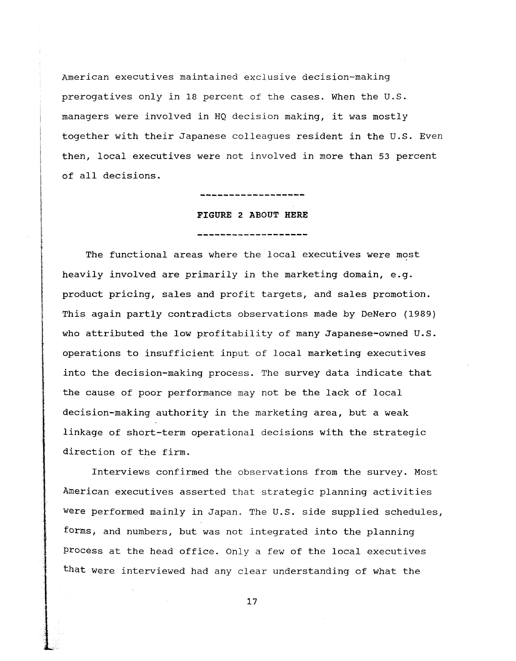American executives maintained exclusive decision-making prerogatives only in 18 percent of the cases. When the  $U.S.$ managers were involved in HQ decision making, it was mostly together with their Japanese colleagues resident in the U.S. Even then, local executives were not involved in more than 53 percent of all decisions.

FIGURE 2 ABOUT HERE

**------------------**

**-------------------**

The functional areas where the local executives were most heavily involved are primarily in the marketing domain, e.g. product pricing, sales and profit targets, and sales promotion. This again partly contradicts observations made by DeNero (1989) who attributed the low profitability of many Japanese-owned U.S. operations to insufficient input of local marketing executives into the decision-making process. The survey data indicate that the cause of poor performance may not be the lack of local decision-making authority in the marketing area, but a weak linkage of short-term operational decisions with the strategic direction of the firm.

Interviews confirmed the observations from the survey. Most American executives asserted that strategic planning activities were performed mainly in Japan. The U.S. side supplied schedules, forms, and numbers, but was not integrated into the planning process at the head office. Only a few of the local executives that were interviewed had any clear understanding of what the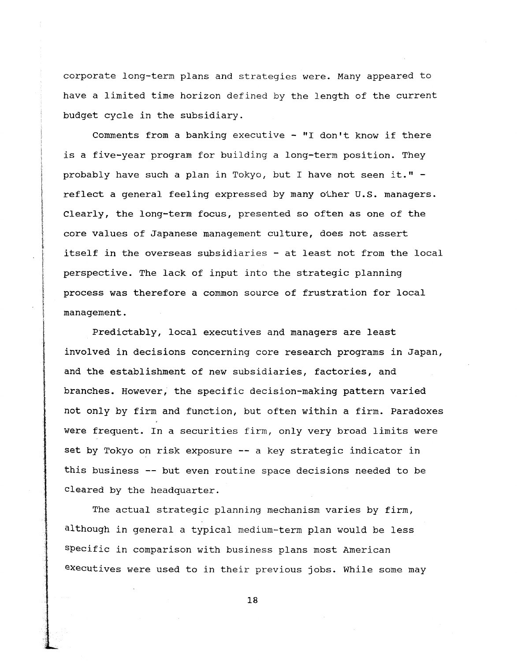corporate long-term plans and strategies were. Many appeared to have a limited time horizon defined by the length of the current budget cycle in the subsidiary.

Comments from a banking executive - "I don't know if there is a five-year program for building a long-term position. They probably have such a plan in Tokyo, but I have not seen it." reflect a general feeling expressed by many other U.S. managers. clearly, the long-term focus, presented so often as one of the core values of Japanese management culture, does not assert itself in the overseas subsidiaries - at least not from the local perspective. The lack of input into the strategic planning process was therefore a common source of frustration for local management.

Predictably, local executives and managers are least involved in decisions concerning core research programs in Japan, and the establishment of new subsidiaries, factories, and branches. However, the specific decision-making pattern varied not only by firm and function, but often within a firm. Paradoxes were frequent. In a securities firm, only very broad limits were set by Tokyo on risk exposure -- a key strategic indicator in this business **--** but even routine space decisions needed to be cleared by the headquarter.

The actual strategic planning mechanism varies by firm, although in general a typical medium-term plan would be less specific in comparison with business plans most American executives were used to in their previous jobs. While some may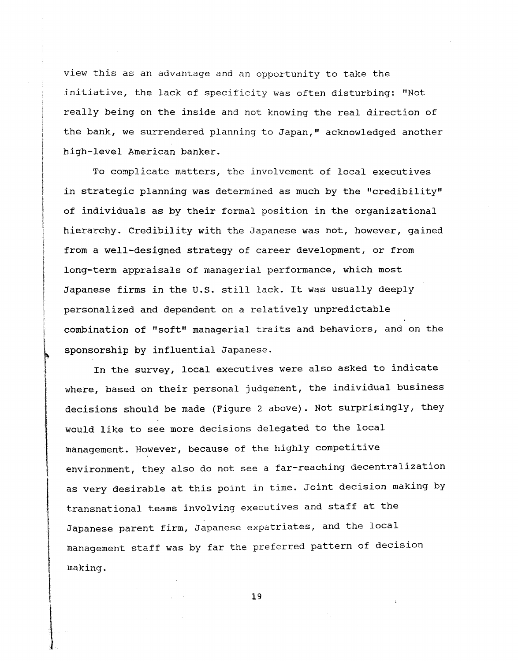view this as an advantage and an opportunity to take the initiative, the lack of specificity was often disturbing: "Not really being on the inside and not knowing the real direction of the bank, we surrendered planning to Japan," acknowledged another high-level American banker.

To complicate matters, the involvement of local executives in strategic planning was determined as much by the "credibility" of individuals as by their formal position in the organizational hierarchY. Credibility with the Japanese was not, however, gained from a well-designed strategy of career development, or from long-term appraisals of managerial performance, which most Japanese firms in the U.S. still lack. It was usually deeply personalized and dependent on a relatively unpredictable combination of "soft" managerial traits and behaviors, and on the sponsorship by influential Japanese.

In the survey, local executives were also asked to indicate where, based on their personal judgement, the individual business decisions should be made (Figure 2 above). Not surprisingly, they would like to see more decisions delegated to the local management. However, because of the highly competitive environment, they also do not see a far-reaching decentralization as very desirable at this point in time. Joint decision making by transnational teams involving executives and staff at the Japanese parent firm, Japanese expatriates, and the local management staff was by far the preferred pattern of decision making.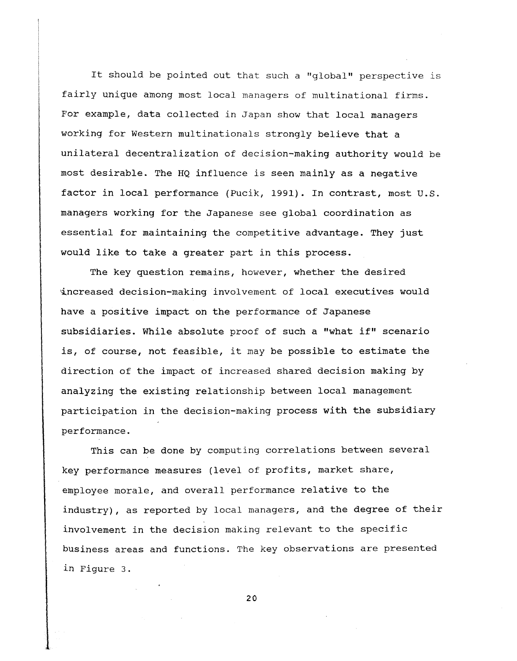It should be pointed out that such a "global" perspective is fairly unique among most local managers of multinational firms. For example, data collected in Japan show that local managers working for Western multinationals strongly believe that a unilateral decentralization of decision-making authority would be most desirable. The HQ influence is seen mainly as a negative factor in local performance (pucik, 1991). In contrast, most U.S. managers working for the Japanese see global coordination as essential for maintaining the competitive advantage. They just would like to take a greater part in this process.

The key question remains, however, whether the desired increased decision-making involvement of local executives would have a positive impact on the performance of Japanese subsidiaries. While absolute proof of such a "what **if"** scenario is, of course, not feasible, it may be possible to estimate the direction of the impact of increased shared decision making by analyzing the existing relationship between local management participation in the decision-making process with the subsidiary performance.

This can be done by computing correlations between several key performance measures (level of profits, market share, employee morale, and overall performance relative to the industry), as reported by local managers, and the degree of their involvement in the decision making relevant to the specific business areas and functions. The key observations are presented in Figure 3.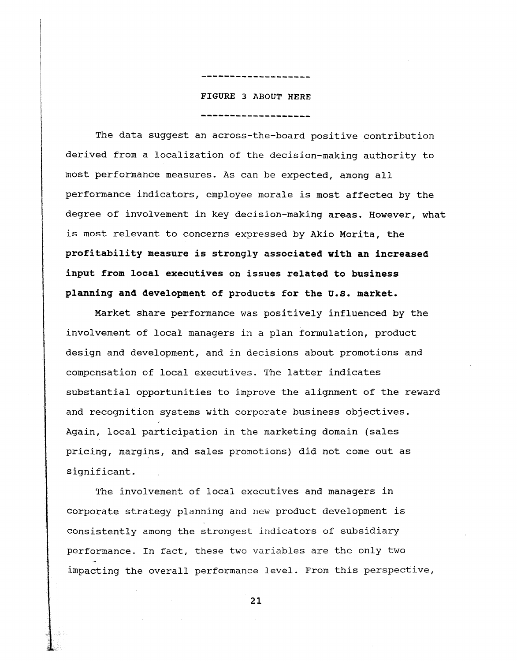### FIGURE 3 ABOUT HERE

**-------------------**

**-------------------**

The data suggest an across-the-board positive contribution derived from a localization of the decision-making authority to most performance measures. As can be expected, among all performance indicators, employee morale is most affectea by the degree of involvement in key decision-making areas. However, what is most relevant to concerns expressed by Akio Morita, the profitability measure is strongly associated with an increased input from local executives on issues related to business planning and development of products for the U.S. market.

Market share performance was positively influenced by the involvement of local managers in a plan formulation, product design and development, and in decisions about promotions and compensation of local executives. The latter indicates substantial opportunities to improve the alignment of the reward and recognition systems with corporate business objectives. Again, local participation in the marketing domain (sales pricing, margins, and sales promotions) did not come out as significant.

The involvement of local executives and managers in corporate strategy planning and new product development is consistently among the strongest indicators of subsidiary performance. In fact, these two variables are the only two impacting the overall performance level. From this perspective,